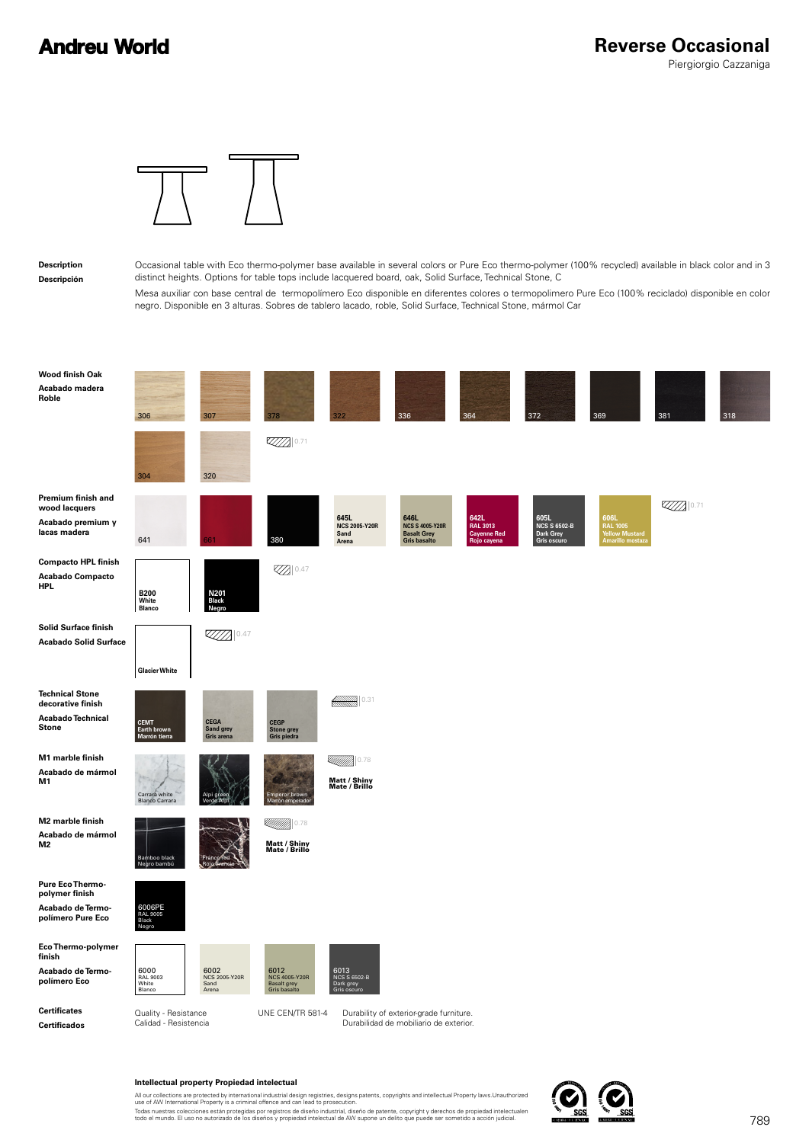

#### **Description Descripción**

Occasional table with Eco thermo-polymer base available in several colors or Pure Eco thermo-polymer (100% recycled) available in black color and in 3 distinct heights. Options for table tops include lacquered board, oak, Solid Surface, Technical Stone, C

Mesa auxiliar con base central de termopolímero Eco disponible en diferentes colores o termopolimero Pure Eco (100% reciclado) disponible en color negro. Disponible en 3 alturas. Sobres de tablero lacado, roble, Solid Surface, Technical Stone, mármol Car

| <b>Wood finish Oak</b><br>Acabado madera<br>Roble                                   | 306<br>307                                                                                  |                                                            |                                                                     | 336                                                                               | 364                                                          | 372                                                     | 369                                                    | 381               | 318 |
|-------------------------------------------------------------------------------------|---------------------------------------------------------------------------------------------|------------------------------------------------------------|---------------------------------------------------------------------|-----------------------------------------------------------------------------------|--------------------------------------------------------------|---------------------------------------------------------|--------------------------------------------------------|-------------------|-----|
|                                                                                     | 304<br>320                                                                                  | 0.71                                                       |                                                                     |                                                                                   |                                                              |                                                         |                                                        |                   |     |
| Premium finish and<br>wood lacquers<br>Acabado premium y<br>lacas madera            | 641<br>361                                                                                  | 380                                                        | 645L<br><b>NCS 2005-Y20R</b><br>Sand<br>Arena                       | 646L<br><b>NCS S 4005-Y20R</b><br><b>Basalt Grey</b><br><b>Gris basalto</b>       | 642L<br><b>RAL 3013</b><br><b>Cayenne Red</b><br>Rojo cayena | 605L<br><b>NCS S 6502-B</b><br>Dark Grey<br>Gris oscuro | 606L<br>RAL 1005<br>Yellow Mustard<br>Amarillo mostaza | $\mathbb{Z}$ 0.71 |     |
| <b>Compacto HPL finish</b><br><b>Acabado Compacto</b><br><b>HPL</b>                 | B <sub>200</sub><br>White<br>N201<br>Black<br><b>Blanco</b>                                 | <b>Z</b> 0.47                                              |                                                                     |                                                                                   |                                                              |                                                         |                                                        |                   |     |
| <b>Solid Surface finish</b><br><b>Acabado Solid Surface</b>                         | $\mathbb{Z} \mathbb{Z} \mathbb{Z} \mathbb{Z} \mathbb{Z} \mathbb{Z}$<br><b>Glacier White</b> |                                                            |                                                                     |                                                                                   |                                                              |                                                         |                                                        |                   |     |
| <b>Technical Stone</b><br>decorative finish<br>Acabado Technical<br><b>Stone</b>    | <b>CEMT</b><br><b>CEGA</b><br>Sand grey<br>Earth brown<br>Gris arena<br>Marrón tierra       | <b>CEGP</b><br><b>Stone grey</b><br>Gris piedra            | 0.31<br>▒▒▒                                                         |                                                                                   |                                                              |                                                         |                                                        |                   |     |
| M1 marble finish<br>Acabado de mármol<br>M1                                         | Carrara white<br><b>Blanco Carrara</b>                                                      | Emperor brown<br>Marrón emperado                           | <u>AMMI)</u><br>0.78<br><b>Matt / Shiny</b><br><b>Mate / Brillo</b> |                                                                                   |                                                              |                                                         |                                                        |                   |     |
| M2 marble finish<br>Acabado de mármol<br>M <sub>2</sub>                             | Bamboo black<br>Negro bambi                                                                 | <b><i>Millim</i></b> 0.78<br>Matt / Shiny<br>Mate / Brillo |                                                                     |                                                                                   |                                                              |                                                         |                                                        |                   |     |
| <b>Pure Eco Thermo-</b><br>polymer finish<br>Acabado de Termo-<br>polímero Pure Eco | 6006PE<br>RAL 9005<br>Black<br>Negro                                                        |                                                            |                                                                     |                                                                                   |                                                              |                                                         |                                                        |                   |     |
| Eco Thermo-polymer<br>finish<br>Acabado de Termo-<br>polímero Eco                   | 6000<br>RAL 9003<br>6002<br>NCS 2005-Y20R<br>White<br>Sand<br>Blanco<br>Arena               | 6012<br>NCS 4005-Y20R<br>Basalt grey<br>Gris basalto       | 6013<br>NCS S 6502-B<br>Dark grey<br>Gris oscuro                    |                                                                                   |                                                              |                                                         |                                                        |                   |     |
| <b>Certificates</b><br><b>Certificados</b>                                          | Quality - Resistance<br>Calidad - Resistencia                                               | UNE CEN/TR 581-4                                           |                                                                     | Durability of exterior-grade furniture.<br>Durabilidad de mobiliario de exterior. |                                                              |                                                         |                                                        |                   |     |

### **Intellectual property Propiedad intelectual**

All our collections are protected by international industrial design registries, designs patents, copyrights and intellectual Property laws.Unauthorized<br>use of AW International Property is a criminal offence and can lead t

Todas nuestras colecciones están protegidas por registros de diseño industrial, diseño de patente, copyright y derechos de propiedad intelectualen<br>todo el mundo. El uso no autorizado de los diseños y propiedad intelectual

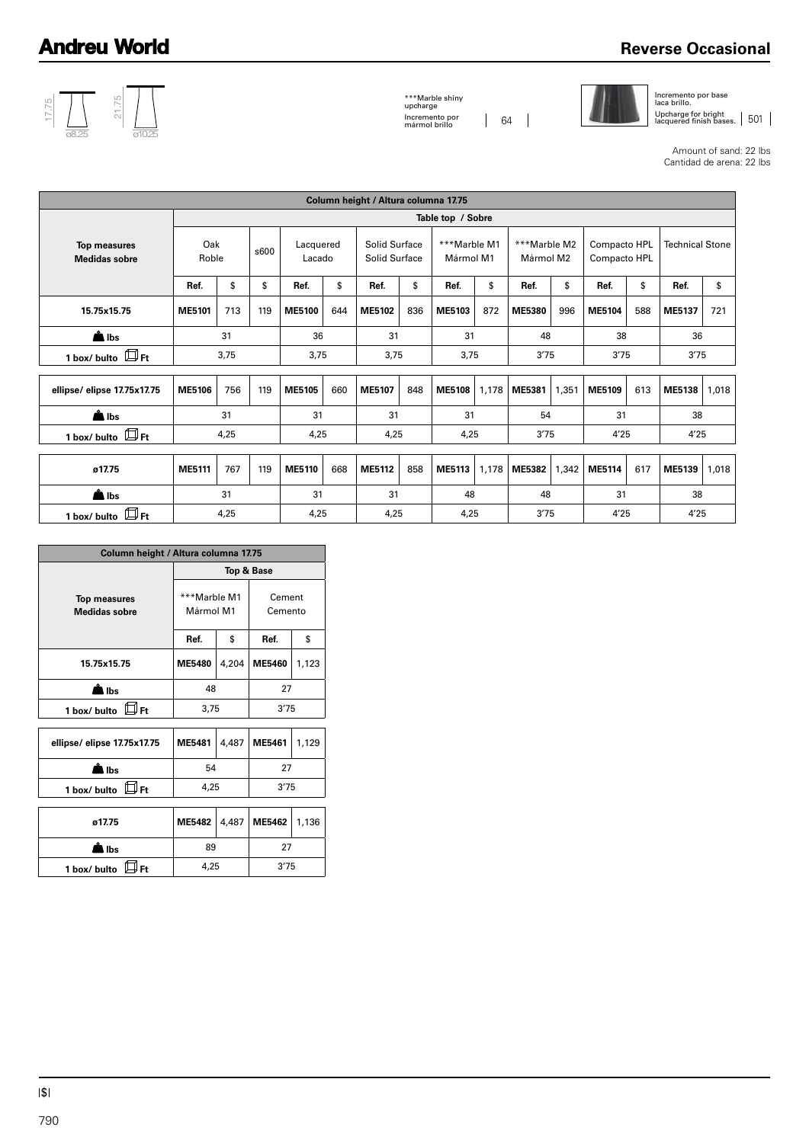## **Reverse Occasional**



\*\*\*Marble shiny upcharge Incremento por mármol brillo 64



Incremento por base laca brillo. Upcharge for bright<br>lacquered finish bases. | 501

Amount of sand: 22 lbs Cantidad de arena: 22 lbs

|                                             |              |      |      |                     |     | Column height / Altura columna 17.75 |                                |                   |                           |               |                           |        |                              |                        |       |
|---------------------------------------------|--------------|------|------|---------------------|-----|--------------------------------------|--------------------------------|-------------------|---------------------------|---------------|---------------------------|--------|------------------------------|------------------------|-------|
|                                             |              |      |      |                     |     |                                      |                                | Table top / Sobre |                           |               |                           |        |                              |                        |       |
| <b>Top measures</b><br><b>Medidas sobre</b> | Oak<br>Roble |      | s600 | Lacquered<br>Lacado |     |                                      | Solid Surface<br>Solid Surface |                   | ***Marble M1<br>Mármol M1 |               | ***Marble M2<br>Mármol M2 |        | Compacto HPL<br>Compacto HPL | <b>Technical Stone</b> |       |
|                                             | Ref.         | \$   | \$   | Ref.                | \$  | Ref.                                 | \$                             | Ref.              | \$                        | Ref.          | \$                        | Ref.   | \$                           | Ref.                   | \$    |
| 15.75x15.75                                 | ME5101       | 713  | 119  | <b>ME5100</b>       | 644 | ME5102                               | 836                            | ME5103            | 872                       | <b>ME5380</b> | 996                       | ME5104 | 588                          | ME5137                 | 721   |
| $\triangle$ lbs                             |              | 31   |      |                     | 36  |                                      | 31                             |                   | 31                        |               | 48                        | 38     |                              | 36                     |       |
| 1 box/ bulto $\Box$ Ft                      |              | 3,75 |      | 3,75                |     | 3,75                                 |                                | 3,75              |                           | 3'75          |                           | 3'75   |                              | 3'75                   |       |
| ellipse/elipse 17.75x17.75                  | ME5106       | 756  | 119  | ME5105              | 660 | ME5107                               | 848                            | <b>ME5108</b>     | 1,178                     | ME5381        | 1,351                     | ME5109 | 613                          | <b>ME5138</b>          | 1,018 |
| $\triangle$ lbs                             |              | 31   |      | 31                  |     | 31                                   |                                | 31                |                           | 54            |                           | 31     |                              | 38                     |       |
| 1 box/ bulto $\mathbb{D}_{\mathsf{Ft}}$     |              | 4,25 |      | 4,25                |     | 4,25                                 |                                | 4,25              |                           | 3'75          |                           | 4'25   |                              | 4'25                   |       |
|                                             |              |      |      |                     |     |                                      |                                |                   |                           |               |                           |        |                              |                        |       |
| ø17.75                                      | ME5111       | 767  | 119  | ME5110              | 668 | ME5112                               | 858                            | ME5113            | 1,178                     | <b>ME5382</b> | 1,342                     | ME5114 | 617                          | ME5139                 | 1,018 |
| $\triangle$ lbs                             |              | 31   |      | 31                  |     | 31                                   |                                | 48                |                           | 48            |                           | 31     |                              | 38                     |       |
| $\Box$ Ft<br>1 box/ bulto                   |              | 4,25 |      | 4,25                |     | 4,25                                 |                                | 4,25              |                           | 3'75          |                           | 4'25   |                              | 4'25                   |       |

| Column height / Altura columna 17.75        |                           |       |                   |       |  |
|---------------------------------------------|---------------------------|-------|-------------------|-------|--|
|                                             |                           |       | Top & Base        |       |  |
| <b>Top measures</b><br><b>Medidas sobre</b> | ***Marble M1<br>Mármol M1 |       | Cement<br>Cemento |       |  |
|                                             | Ref.                      | \$    | Ref.              | \$    |  |
| 15.75x15.75                                 | <b>ME5480</b>             | 4,204 | <b>ME5460</b>     | 1,123 |  |
| å<br>Nibs                                   | 48                        |       | 27                |       |  |
| $\boxplus$ Ft<br>1 box/ bulto               | 3,75                      |       | 3'75              |       |  |
|                                             |                           |       |                   |       |  |
| ellipse/elipse 17.75x17.75                  | ME5481                    | 4,487 | ME5461            | 1,129 |  |
| ≜ Ibs                                       | 54                        |       | 27                |       |  |
| ШFt<br>1 box/ bulto                         | 4,25                      |       | 3'75              |       |  |
|                                             |                           |       |                   |       |  |
| ø17.75                                      | <b>ME5482</b>             | 4,487 | ME5462            | 1,136 |  |
| l Ibs                                       | 89                        |       | 27                |       |  |
| – ⊮Ft<br>1 box/ bulto                       | 4,25                      |       | 3'75              |       |  |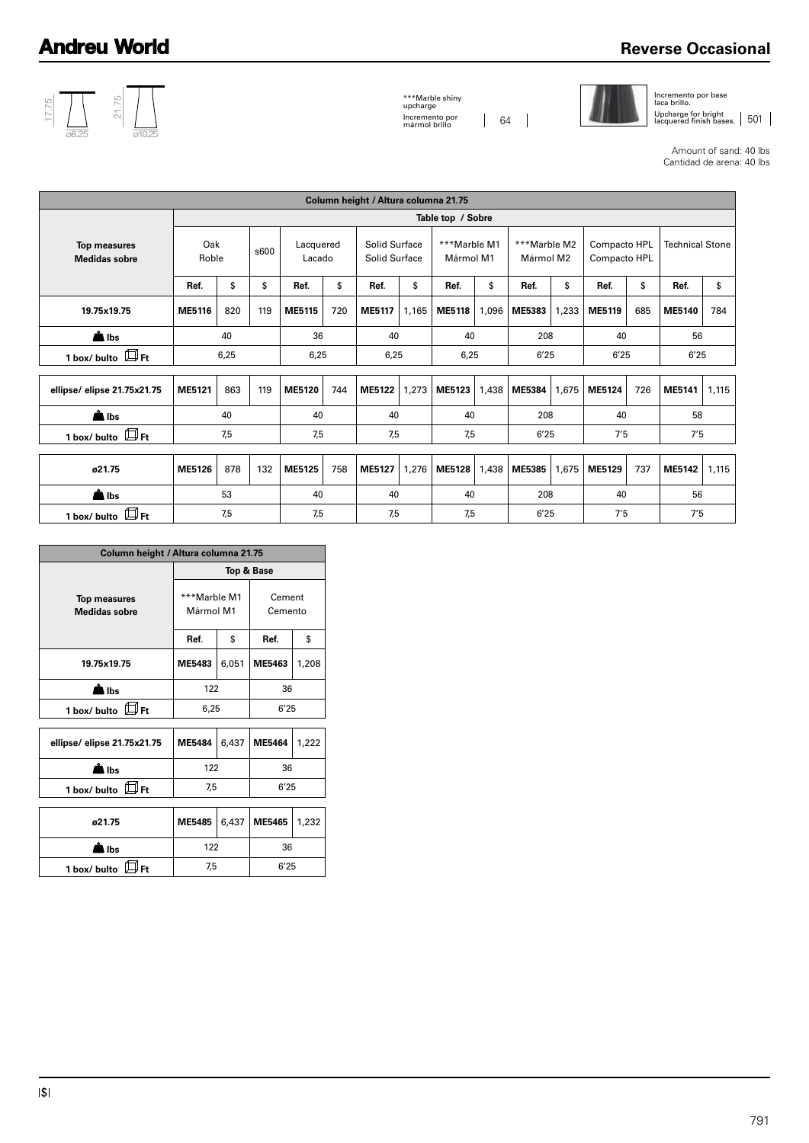## **Reverse Occasional**



\*\*\*Marble shiny upcharge Incremento por mármol brillo 64



Incremento por base laca brillo.

Upcharge for bright<br>lacquered finish bases. | 501

Amount of sand: 40 lbs Cantidad de arena: 40 lbs

|                                             |              |     |      |                     |      | Column height / Altura columna 21.75 |       |                           |       |                           |       |                              |      |                        |       |  |
|---------------------------------------------|--------------|-----|------|---------------------|------|--------------------------------------|-------|---------------------------|-------|---------------------------|-------|------------------------------|------|------------------------|-------|--|
|                                             |              |     |      |                     |      |                                      |       | Table top / Sobre         |       |                           |       |                              |      |                        |       |  |
| <b>Top measures</b><br><b>Medidas sobre</b> | Oak<br>Roble |     | s600 | Lacquered<br>Lacado |      | Solid Surface<br>Solid Surface       |       | ***Marble M1<br>Mármol M1 |       | ***Marble M2<br>Mármol M2 |       | Compacto HPL<br>Compacto HPL |      | <b>Technical Stone</b> |       |  |
|                                             | Ref.         | \$  | \$   | Ref.                | \$   | Ref.                                 | \$    | Ref.                      | \$    | Ref.                      | \$    | Ref.                         | \$   | Ref.                   | \$    |  |
| 19.75x19.75                                 | ME5116       | 820 | 119  | ME5115              | 720  | ME5117                               | 1,165 | <b>ME5118</b>             | 1,096 | ME5383                    | 1,233 | ME5119                       | 685  | ME5140                 | 784   |  |
| $\triangle$ lbs                             |              | 40  |      |                     | 36   |                                      | 40    |                           | 40    |                           | 208   | 40                           |      | 56                     |       |  |
| 1 box/ bulto $\Box$ Ft                      | 6,25         |     | 6,25 |                     | 6,25 |                                      | 6,25  |                           | 6'25  |                           | 6'25  |                              | 6'25 |                        |       |  |
|                                             |              |     |      |                     |      |                                      |       |                           |       |                           |       |                              |      |                        |       |  |
| ellipse/elipse 21.75x21.75                  | ME5121       | 863 | 119  | <b>ME5120</b>       | 744  | <b>ME5122</b>                        | 1,273 | ME5123                    | 1,438 | <b>ME5384</b>             | 1,675 | ME5124                       | 726  | ME5141                 | 1,115 |  |
| $\triangle$ lbs                             |              | 40  |      | 40                  |      | 40                                   |       | 40                        |       | 208                       |       | 40                           |      | 58                     |       |  |
| 1 box/ bulto $\Box$ Ft                      |              | 7,5 |      | 7,5                 |      | 7,5                                  |       | 7,5                       |       | 6'25                      |       | 7'5                          |      | 7'5                    |       |  |
|                                             |              |     |      |                     |      |                                      |       |                           |       |                           |       |                              |      |                        |       |  |
| ø21.75                                      | ME5126       | 878 | 132  | ME5125              | 758  | ME5127                               | 1,276 | <b>ME5128</b>             | 1,438 | ME5385                    | 1,675 | ME5129                       | 737  | ME5142                 | 1,115 |  |
| $\triangle$ lbs                             |              | 53  |      | 40                  |      | 40                                   |       | 40                        |       | 208                       |       | 40                           |      | 56                     |       |  |
| $\Box$ Ft<br>1 box/ bulto                   |              | 7,5 |      |                     | 7,5  |                                      | 7,5   |                           | 7,5   |                           | 6'25  |                              | 7'5  |                        | 7'5   |  |

| Column height / Altura columna 21.75        |                           |       |                   |       |  |  |  |  |
|---------------------------------------------|---------------------------|-------|-------------------|-------|--|--|--|--|
|                                             |                           |       | Top & Base        |       |  |  |  |  |
| <b>Top measures</b><br><b>Medidas sobre</b> | ***Marble M1<br>Mármol M1 |       | Cement<br>Cemento |       |  |  |  |  |
|                                             | Ref.                      | \$    | Ref.              | \$    |  |  |  |  |
| 19.75x19.75                                 | ME5483                    | 6,051 | ME5463            | 1,208 |  |  |  |  |
| l Ibs                                       | 122                       |       | 36                |       |  |  |  |  |
| $\Box F$<br>1 box/ bulto                    | 6,25                      |       | 6'25              |       |  |  |  |  |
|                                             |                           |       |                   |       |  |  |  |  |
| ellipse/elipse 21.75x21.75                  | <b>ME5484</b>             | 6,437 | <b>ME5464</b>     | 1,222 |  |  |  |  |
| l Ibs                                       | 122                       |       | 36                |       |  |  |  |  |
| $\boxplus$ Ft<br>1 box/ bulto               | 7,5                       |       | 6'25              |       |  |  |  |  |
|                                             |                           |       |                   |       |  |  |  |  |
| ø21.75                                      | <b>ME5485</b>             | 6,437 | ME5465            | 1,232 |  |  |  |  |
| la Ibs                                      | 122                       |       | 36                |       |  |  |  |  |
| 1 box/ bulto<br>l Ft                        | 7,5                       |       | 6'25              |       |  |  |  |  |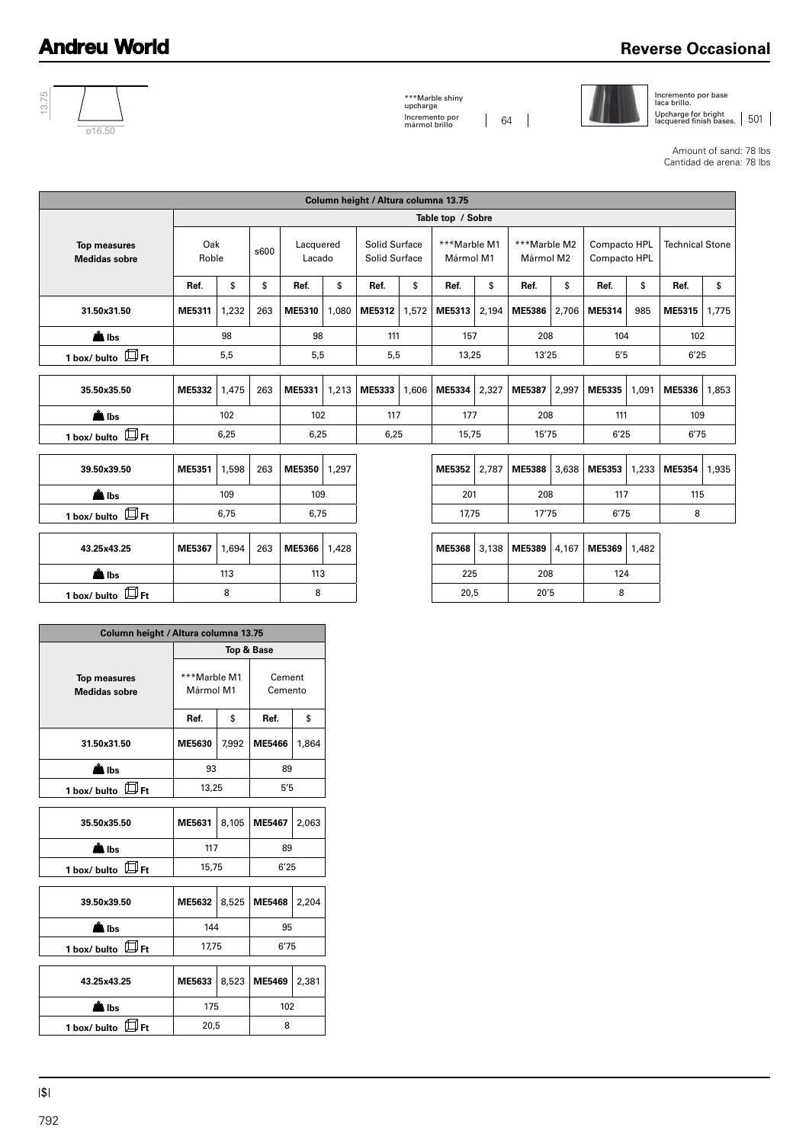## **Reverse Occasional**



\*\*\*Marble shiny upcharge Incremento por mármol brillo 64



Incremento por base laca brillo. Upcharge for bright<br>lacquered finish bases. | 501

Amount of sand: 78 lbs Cantidad de arena: 78 lbs

|                                             | Column height / Altura columna 13.75 |       |      |                     |       |                                |       |                           |       |                           |       |                              |       |                        |       |
|---------------------------------------------|--------------------------------------|-------|------|---------------------|-------|--------------------------------|-------|---------------------------|-------|---------------------------|-------|------------------------------|-------|------------------------|-------|
|                                             |                                      |       |      |                     |       |                                |       | Table top / Sobre         |       |                           |       |                              |       |                        |       |
| <b>Top measures</b><br><b>Medidas sobre</b> | Oak<br>Roble                         |       | s600 | Lacquered<br>Lacado |       | Solid Surface<br>Solid Surface |       | ***Marble M1<br>Mármol M1 |       | ***Marble M2<br>Mármol M2 |       | Compacto HPL<br>Compacto HPL |       | <b>Technical Stone</b> |       |
|                                             | Ref.                                 | \$    | \$   | Ref.                | \$    | Ref.                           | \$    | Ref.                      | \$    | Ref.                      | \$    | Ref.                         | \$    | Ref.                   | \$    |
| 31.50x31.50                                 | ME5311                               | 1,232 | 263  | ME5310              | 1,080 | ME5312                         | 1,572 | ME5313                    | 2,194 | ME5386                    | 2,706 | ME5314                       | 985   | ME5315                 | 1.775 |
| <b>A</b> Ibs                                |                                      | 98    |      |                     | 98    |                                | 111   |                           | 157   |                           | 208   |                              | 104   | 102                    |       |
| 1 box/ bulto $\Box$ Ft                      |                                      | 5,5   |      | 5,5                 |       | 5,5                            |       | 13,25                     |       | 13'25                     |       | 5'5                          |       | 6'25                   |       |
|                                             |                                      |       |      |                     |       |                                |       |                           |       |                           |       |                              |       |                        |       |
| 35.50x35.50                                 | ME5332                               | 1,475 | 263  | ME5331              | 1,213 | ME5333                         | 1.606 | ME5334                    | 2,327 | ME5387                    | 2,997 | ME5335                       | 1.091 | ME5336                 | 1,853 |
| $\triangle$ lbs                             |                                      | 102   |      | 102                 |       | 117                            |       | 177                       |       | 208                       |       | 111                          |       | 109                    |       |
| 1 box/ bulto $\Box$ Ft                      |                                      | 6,25  |      | 6,25                |       | 6,25                           |       | 15,75                     |       | 15'75                     |       | 6'25                         |       | 6'75                   |       |
|                                             |                                      |       |      |                     |       |                                |       |                           |       |                           |       |                              |       |                        |       |
| 39.50x39.50                                 | ME5351                               | 1,598 | 263  | ME5350              | 1,297 |                                |       | ME5352                    | 2,787 | ME5388                    | 3,638 | ME5353                       | 1,233 | <b>ME5354</b>          | 1,935 |
| $\triangle$ lbs                             |                                      | 109   |      | 109                 |       |                                |       | 201                       |       | 208                       |       | 117                          |       | 115                    |       |
| 1 box/ bulto $\mathbb{B}_{\mathrm{Ft}}$     |                                      | 6.75  |      | 6,75                |       |                                |       | 17.75                     |       | 17'75                     |       | 6'75                         |       | 8                      |       |
|                                             |                                      |       |      |                     |       |                                |       |                           |       |                           |       |                              |       |                        |       |
| 43.25x43.25                                 | ME5367                               | 1,694 | 263  | ME5366              | 1,428 |                                |       | <b>ME5368</b>             | 3,138 | ME5389                    | 4,167 | ME5369                       | 1,482 |                        |       |
| $\triangle$ lbs                             |                                      | 113   |      | 113                 |       |                                |       | 225                       |       | 208                       |       | 124                          |       |                        |       |
| 1 box/ bulto $\mathbb{B}_{\mathsf{Ft}}$     |                                      | 8     |      | 8                   |       |                                |       | 20,5                      |       | 20'5                      |       | 8                            |       |                        |       |

| Column height / Altura columna 13.75        |                           |       |                       |       |  |
|---------------------------------------------|---------------------------|-------|-----------------------|-------|--|
|                                             |                           |       | <b>Top &amp; Base</b> |       |  |
| <b>Top measures</b><br><b>Medidas sobre</b> | ***Marble M1<br>Mármol M1 |       | Cement<br>Cemento     |       |  |
|                                             | Ref.                      | \$    | Ref.                  | \$    |  |
| 31.50x31.50                                 | ME5630                    | 7,992 | ME5466                | 1,864 |  |
| l Ibs                                       | 93                        |       | 89                    |       |  |
| 口Ft<br>1 box/ bulto                         | 13,25                     |       | 5'5                   |       |  |
|                                             |                           |       |                       |       |  |
| 35.50x35.50                                 | ME5631                    | 8,105 | ME5467                | 2,063 |  |
| l Ibs                                       | 117                       |       | 89                    |       |  |
| Щғt<br>1 box/ bulto                         | 15,75                     |       | 6'25                  |       |  |
|                                             |                           |       |                       |       |  |
| 39.50x39.50                                 | ME5632                    | 8,525 | <b>ME5468</b>         | 2,204 |  |
| l Ibs                                       | 144                       |       | 95                    |       |  |
| ∰н<br>1 box/ bulto                          | 17,75                     |       | 6'75                  |       |  |
|                                             |                           |       |                       |       |  |
| 43.25x43.25                                 | ME5633                    | 8,523 | ME5469                | 2,381 |  |
| lbs                                         | 175                       |       | 102                   |       |  |
| 1 box/ bulto<br>Ft                          | 20,5                      |       | 8                     |       |  |
|                                             |                           |       |                       |       |  |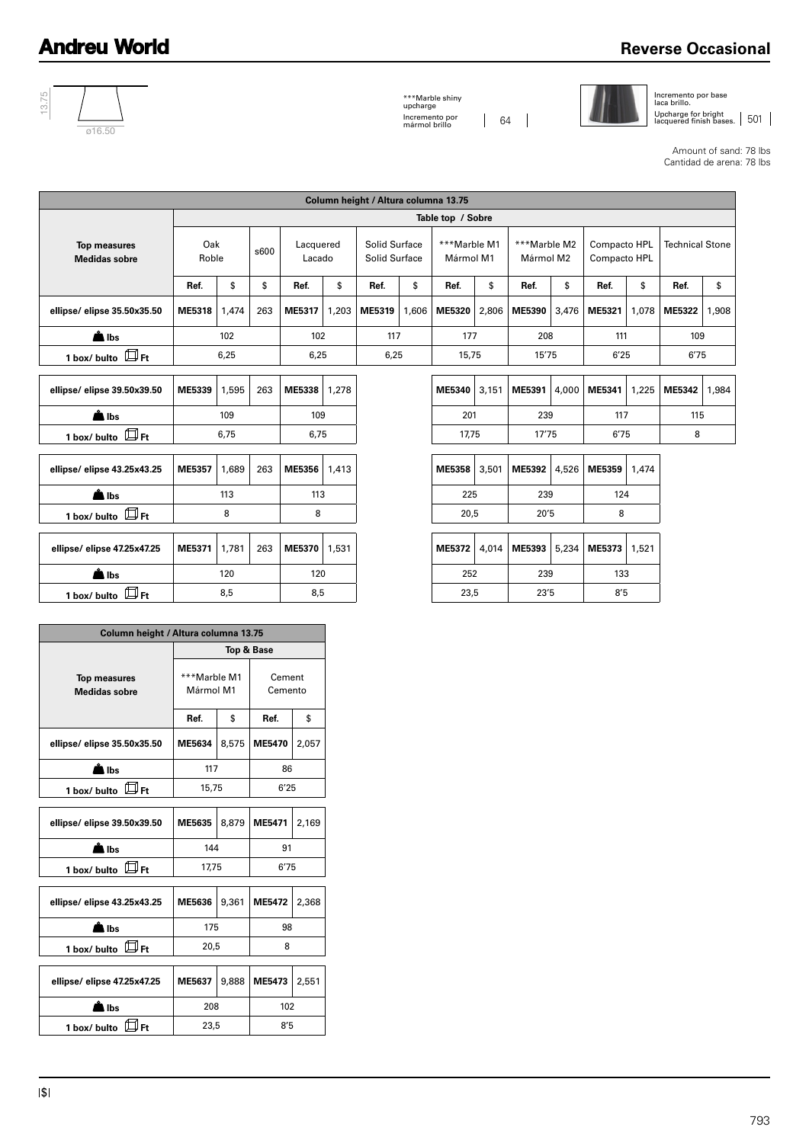## **Reverse Occasional**



\*\*\*Marble shiny upcharge Incremento por mármol brillo 64



Incremento por base laca brillo.

Upcharge for bright<br>lacquered finish bases. | 501

Amount of sand: 78 lbs Cantidad de arena: 78 lbs

| Column height / Altura columna 13.75        |              |            |      |                     |       |                                |       |                           |       |                           |       |                              |       |                        |       |
|---------------------------------------------|--------------|------------|------|---------------------|-------|--------------------------------|-------|---------------------------|-------|---------------------------|-------|------------------------------|-------|------------------------|-------|
|                                             |              |            |      |                     |       |                                |       | Table top / Sobre         |       |                           |       |                              |       |                        |       |
| <b>Top measures</b><br><b>Medidas sobre</b> | Oak<br>Roble |            | s600 | Lacquered<br>Lacado |       | Solid Surface<br>Solid Surface |       | ***Marble M1<br>Mármol M1 |       | ***Marble M2<br>Mármol M2 |       | Compacto HPL<br>Compacto HPL |       | <b>Technical Stone</b> |       |
|                                             | Ref.         | \$         | \$   | Ref.                | \$    | Ref.                           | \$    | Ref.                      | \$    | Ref.                      | \$    | Ref.                         | \$    | Ref.                   | \$    |
| ellipse/elipse 35.50x35.50                  | ME5318       | 1,474      | 263  | ME5317              | 1,203 | ME5319                         | 1,606 | ME5320                    | 2,806 | ME5390                    | 3,476 | ME5321                       | 1,078 | ME5322                 | 1,908 |
| $\triangle$ lbs                             |              | 102        |      | 102                 |       | 117                            |       | 177                       |       | 208                       |       | 111                          |       | 109                    |       |
| 1 box/ bulto $\Box$ Ft                      |              | 6,25       |      | 6,25                |       | 6,25                           |       | 15,75                     |       | 15'75                     |       | 6'25                         |       | 6'75                   |       |
|                                             |              |            |      |                     |       |                                |       |                           |       |                           |       |                              |       |                        |       |
| ellipse/elipse 39.50x39.50                  | ME5339       | 1,595      | 263  | <b>ME5338</b>       | 1,278 |                                |       | ME5340                    | 3,151 | ME5391                    | 4,000 | ME5341                       | 1,225 | ME5342                 | 1,984 |
| $\triangle$ lbs                             |              | 109        |      | 109                 |       |                                |       | 201                       |       | 239                       |       | 117                          |       | 115                    |       |
| 1 box/ bulto $\Box$ Ft                      |              | 6.75       |      | 6,75                |       |                                |       | 17,75                     |       | 17'75                     |       | 6'75                         |       | 8                      |       |
|                                             |              |            |      |                     |       |                                |       |                           |       |                           |       |                              |       |                        |       |
| ellipse/elipse 43.25x43.25                  | ME5357       | 1,689      | 263  | ME5356              | 1,413 |                                |       | ME5358                    | 3,501 | ME5392                    | 4,526 | <b>ME5359</b>                | 1,474 |                        |       |
| <b>A</b> Ibs                                |              | 113        |      | 113                 |       |                                |       | 225                       |       | 239                       |       | 124                          |       |                        |       |
| 1 box/ bulto $\Box$ Ft                      |              | 8          |      | 8                   |       |                                |       | 20,5                      |       | 20'5                      |       | 8                            |       |                        |       |
|                                             |              |            |      |                     |       |                                |       |                           |       |                           |       |                              |       |                        |       |
| ellipse/elipse 47.25x47.25                  | ME5371       | 1,781      | 263  | <b>ME5370</b>       | 1,531 |                                |       | ME5372                    | 4,014 | ME5393                    | 5,234 | ME5373                       | 1,521 |                        |       |
| $\triangle$ lbs                             |              | 120        |      | 120                 |       |                                |       | 252                       |       | 239                       |       | 133                          |       |                        |       |
| 1 box/ bulto $\Box$ Ft                      |              | 8,5<br>8,5 |      |                     |       |                                | 23,5  |                           | 23'5  |                           | 8'5   |                              |       |                        |       |
|                                             |              |            |      |                     |       |                                |       |                           |       |                           |       |                              |       |                        |       |

| Column height / Altura columna 13.75        |                           |       |                   |       |  |  |  |  |
|---------------------------------------------|---------------------------|-------|-------------------|-------|--|--|--|--|
|                                             |                           |       | Top & Base        |       |  |  |  |  |
| <b>Top measures</b><br><b>Medidas sobre</b> | ***Marble M1<br>Mármol M1 |       | Cement<br>Cemento |       |  |  |  |  |
|                                             | Ref.                      | \$    | Ref.              | \$    |  |  |  |  |
| ellipse/ elipse 35.50x35.50                 | ME5634                    | 8,575 | <b>ME5470</b>     | 2,057 |  |  |  |  |
| lbs                                         | 117                       |       | 86                |       |  |  |  |  |
| ⇒Ft<br>1 box/ bulto                         | 15,75                     |       | 6'25              |       |  |  |  |  |
|                                             |                           |       |                   |       |  |  |  |  |
| ellipse/ elipse 39.50x39.50                 | ME5635                    | 8,879 | ME5471            | 2,169 |  |  |  |  |
| l Ibs                                       | 144                       |       | 91                |       |  |  |  |  |
| lJ Ft<br>1 box/ bulto                       | 17,75                     |       | 6'75              |       |  |  |  |  |
|                                             |                           |       |                   |       |  |  |  |  |
| ellipse/elipse 43.25x43.25                  | ME5636                    | 9,361 | <b>ME5472</b>     | 2,368 |  |  |  |  |
| lbs                                         | 175                       |       | 98                |       |  |  |  |  |
| $\boxplus$ Ft<br>1 box/ bulto               | 20,5                      |       | 8                 |       |  |  |  |  |
|                                             |                           |       |                   |       |  |  |  |  |
| ellipse/ elipse 47.25x47.25                 | ME5637                    | 9,888 | ME5473            | 2,551 |  |  |  |  |
| l Ibs                                       | 208                       |       | 102               |       |  |  |  |  |
| 1 box/ bulto<br>Ft.                         | 23,5                      |       | 8'5               |       |  |  |  |  |
|                                             |                           |       |                   |       |  |  |  |  |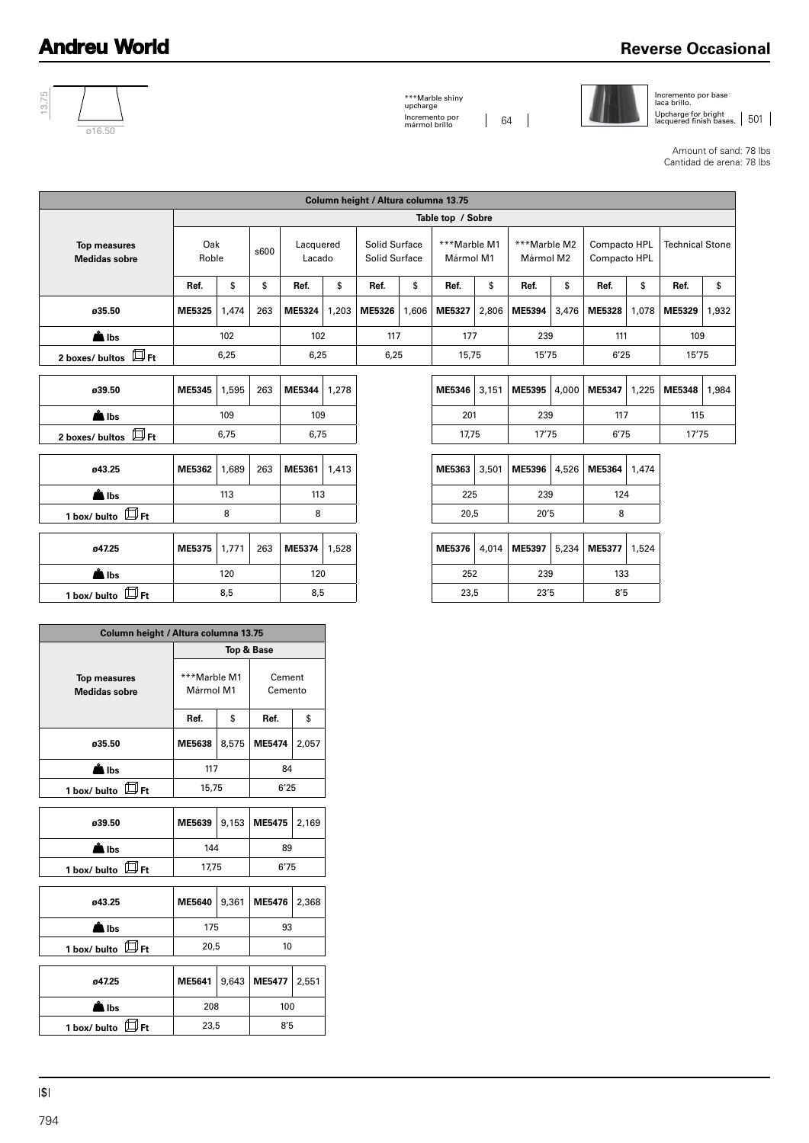## **Reverse Occasional**



\*\*\*Marble shiny upcharge Incremento por mármol brillo 64



Incremento por base laca brillo. Upcharge for bright<br>lacquered finish bases. | 501

Amount of sand: 78 lbs Cantidad de arena: 78 lbs

| Column height / Altura columna 13.75        |              |       |      |                     |       |                                       |       |                           |       |                           |       |                              |       |                        |       |
|---------------------------------------------|--------------|-------|------|---------------------|-------|---------------------------------------|-------|---------------------------|-------|---------------------------|-------|------------------------------|-------|------------------------|-------|
|                                             |              |       |      |                     |       |                                       |       | Table top / Sobre         |       |                           |       |                              |       |                        |       |
| <b>Top measures</b><br><b>Medidas sobre</b> | Oak<br>Roble |       | s600 | Lacquered<br>Lacado |       | Solid Surface<br><b>Solid Surface</b> |       | ***Marble M1<br>Mármol M1 |       | ***Marble M2<br>Mármol M2 |       | Compacto HPL<br>Compacto HPL |       | <b>Technical Stone</b> |       |
|                                             | Ref.         | \$    | \$   | Ref.                | \$    | Ref.                                  | \$    | Ref.                      | \$    | Ref.                      | \$    | Ref.                         | \$    | Ref.                   | \$    |
| ø35.50                                      | ME5325       | 1,474 | 263  | ME5324              | 1,203 | ME5326                                | 1,606 | ME5327                    | 2,806 | ME5394                    | 3,476 | ME5328                       | 1,078 | ME5329                 | 1,932 |
| $\triangle$ lbs                             |              | 102   |      | 102                 |       | 117                                   |       | 177                       |       | 239                       |       | 111                          |       | 109                    |       |
| 2 boxes/ bultos $\mathbb{D}_{\mathrm{Ft}}$  |              | 6,25  |      | 6,25                |       | 6,25                                  |       | 15,75                     |       | 15'75                     |       | 6'25                         |       | 15'75                  |       |
| ø39.50                                      | ME5345       | 1,595 | 263  | ME5344              | 1,278 |                                       |       | ME5346                    | 3,151 | ME5395                    | 4,000 | ME5347                       | 1,225 | ME5348                 | 1,984 |
| $\triangle$ lbs                             |              | 109   |      | 109                 |       |                                       |       | 201                       |       | 239                       |       | 117                          |       | 115                    |       |
| 2 boxes/ bultos $\mathbb{D}_{\mathrm{Ft}}$  |              | 6,75  |      | 6,75                |       |                                       |       | 17,75                     |       | 17'75                     |       | 6'75                         |       | 17'75                  |       |
| ø43.25                                      | ME5362       | 1,689 | 263  | ME5361              | 1,413 |                                       |       | ME5363                    | 3,501 | ME5396                    | 4,526 | ME5364                       | 1,474 |                        |       |
| $\triangle$ lbs                             |              | 113   |      | 113                 |       |                                       |       | 225                       |       | 239                       |       | 124                          |       |                        |       |
| 1 box/ bulto $\mathbb{D}_{\mathsf{Ft}}$     |              | 8     |      | 8                   |       |                                       |       | 20,5                      |       | 20'5                      |       | 8                            |       |                        |       |
| ø47.25                                      | ME5375       | 1,771 | 263  | ME5374              | 1,528 |                                       |       | ME5376                    | 4,014 | ME5397                    | 5,234 | ME5377                       | 1,524 |                        |       |
| $\triangle$ lbs                             |              | 120   |      | 120                 |       |                                       |       | 252                       |       | 239                       |       | 133                          |       |                        |       |
| 1 box/ bulto $\mathbb{B}_{\mathsf{Ft}}$     |              | 8,5   |      | 8,5                 |       |                                       |       | 23,5                      |       | 23'5                      |       | 8'5                          |       |                        |       |
|                                             |              |       |      |                     |       |                                       |       |                           |       |                           |       |                              |       |                        |       |

|                                             | Column height / Altura columna 13.75 |       |                       |       |  |  |  |  |
|---------------------------------------------|--------------------------------------|-------|-----------------------|-------|--|--|--|--|
|                                             |                                      |       | <b>Top &amp; Base</b> |       |  |  |  |  |
| <b>Top measures</b><br><b>Medidas sobre</b> | ***Marble M1<br>Mármol M1            |       | Cement<br>Cemento     |       |  |  |  |  |
|                                             | Ref.                                 | \$    | Ref.                  | \$    |  |  |  |  |
| ø35.50                                      | ME5638                               | 8,575 | ME5474                | 2,057 |  |  |  |  |
| å Ibs                                       | 117                                  |       | 84                    |       |  |  |  |  |
| – ⊎Ft<br>1 box/ bulto                       | 15,75                                |       | 6'25                  |       |  |  |  |  |
|                                             |                                      |       |                       |       |  |  |  |  |
| ø39.50                                      | ME5639                               | 9,153 | ME5475                | 2,169 |  |  |  |  |
| å<br>Ibs                                    | 144                                  |       | 89                    |       |  |  |  |  |
| $\boxplus$ Ft<br>1 box/ bulto               | 17,75                                |       | 6'75                  |       |  |  |  |  |
|                                             |                                      |       |                       |       |  |  |  |  |
| ø43.25                                      | ME5640                               | 9,361 | ME5476                | 2,368 |  |  |  |  |
| llbs                                        | 175                                  |       | 93                    |       |  |  |  |  |
| IJ<br>⇒Ft<br>1 box/ bulto                   | 20,5                                 |       | 10                    |       |  |  |  |  |
|                                             |                                      |       |                       |       |  |  |  |  |
| ø47.25                                      | ME5641                               | 9,643 | <b>ME5477</b>         | 2,551 |  |  |  |  |
| Ibs                                         | 208                                  |       | 100                   |       |  |  |  |  |
| Ft<br>1 box/ bulto                          | 23,5                                 |       | 8'5                   |       |  |  |  |  |
|                                             |                                      |       |                       |       |  |  |  |  |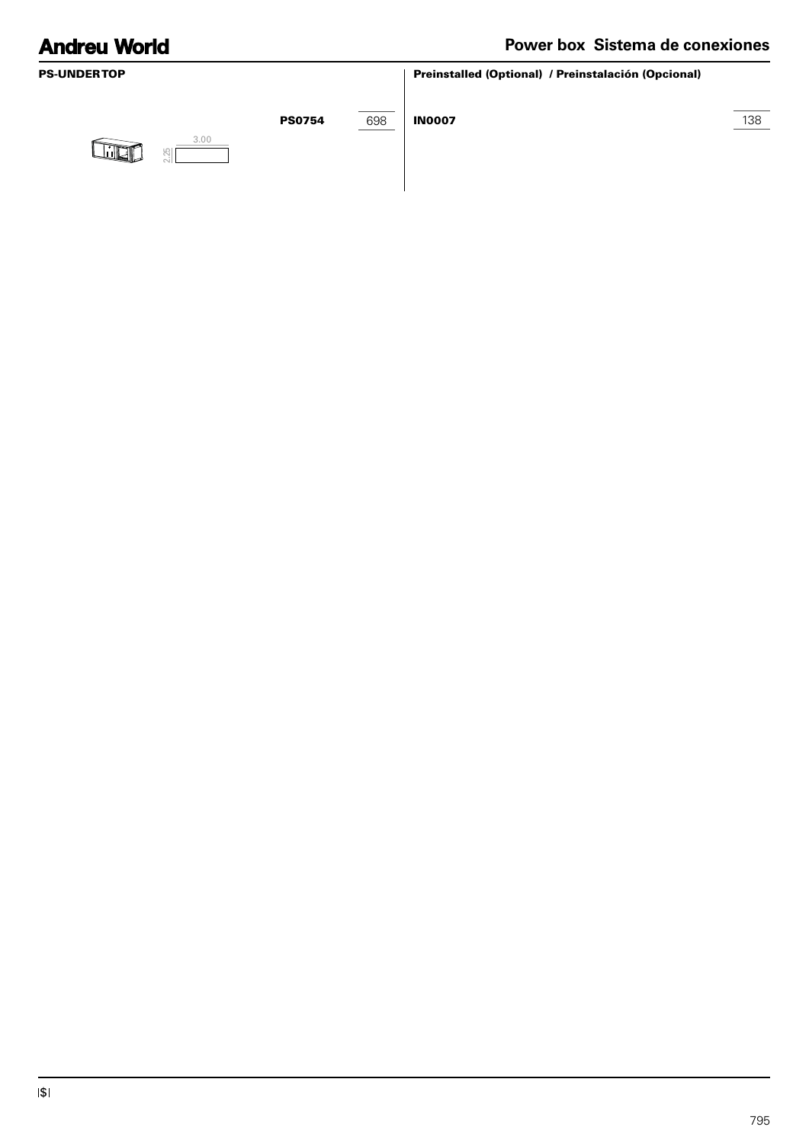## **Power box Sistema de conexiones**

| <b>PS-UNDERTOP</b> |               |     | Preinstalled (Optional) / Preinstalación (Opcional) |     |
|--------------------|---------------|-----|-----------------------------------------------------|-----|
| 3.00<br>ाकिक<br>闯  | <b>PS0754</b> | 698 | <b>IN0007</b>                                       | 138 |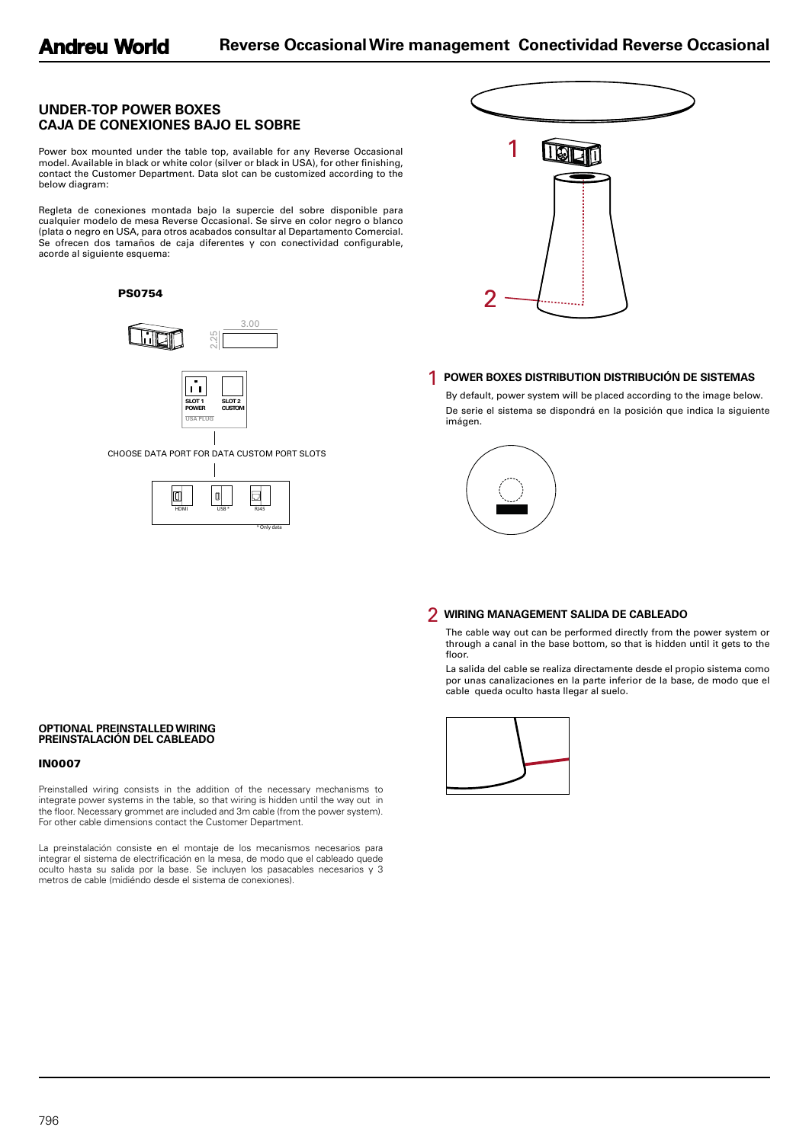### **UNDER-TOP POWER BOXES CAJA DE CONEXIONES BAJO EL SOBRE**

Power box mounted under the table top, available for any Reverse Occasional model. Available in black or white color (silver or black in USA), for other finishing, contact the Customer Department. Data slot can be customized according to the below diagram:

Regleta de conexiones montada bajo la supercie del sobre disponible para cualquier modelo de mesa Reverse Occasional. Se sirve en color negro o blanco (plata o negro en USA, para otros acabados consultar al Departamento Comercial. Se ofrecen dos tamaños de caja diferentes y con conectividad configurable, acorde al siguiente esquema:





\* Only data



### 1 **POWER BOXES DISTRIBUTION DISTRIBUCIÓN DE SISTEMAS**

By default, power system will be placed according to the image below. De serie el sistema se dispondrá en la posición que indica la siguiente imágen.



### 2 **WIRING MANAGEMENT SALIDA DE CABLEADO**

The cable way out can be performed directly from the power system or through a canal in the base bottom, so that is hidden until it gets to the floor.

La salida del cable se realiza directamente desde el propio sistema como por unas canalizaciones en la parte inferior de la base, de modo que el cable queda oculto hasta llegar al suelo.



#### **OPTIONAL PREINSTALLED WIRING PREINSTALACIÓN DEL CABLEADO**

### IN0007

Preinstalled wiring consists in the addition of the necessary mechanisms to integrate power systems in the table, so that wiring is hidden until the way out in the floor. Necessary grommet are included and 3m cable (from the power system). For other cable dimensions contact the Customer Department.

La preinstalación consiste en el montaje de los mecanismos necesarios para integrar el sistema de electrificación en la mesa, de modo que el cableado quede oculto hasta su salida por la base. Se incluyen los pasacables necesarios y 3 metros de cable (midiéndo desde el sistema de conexiones).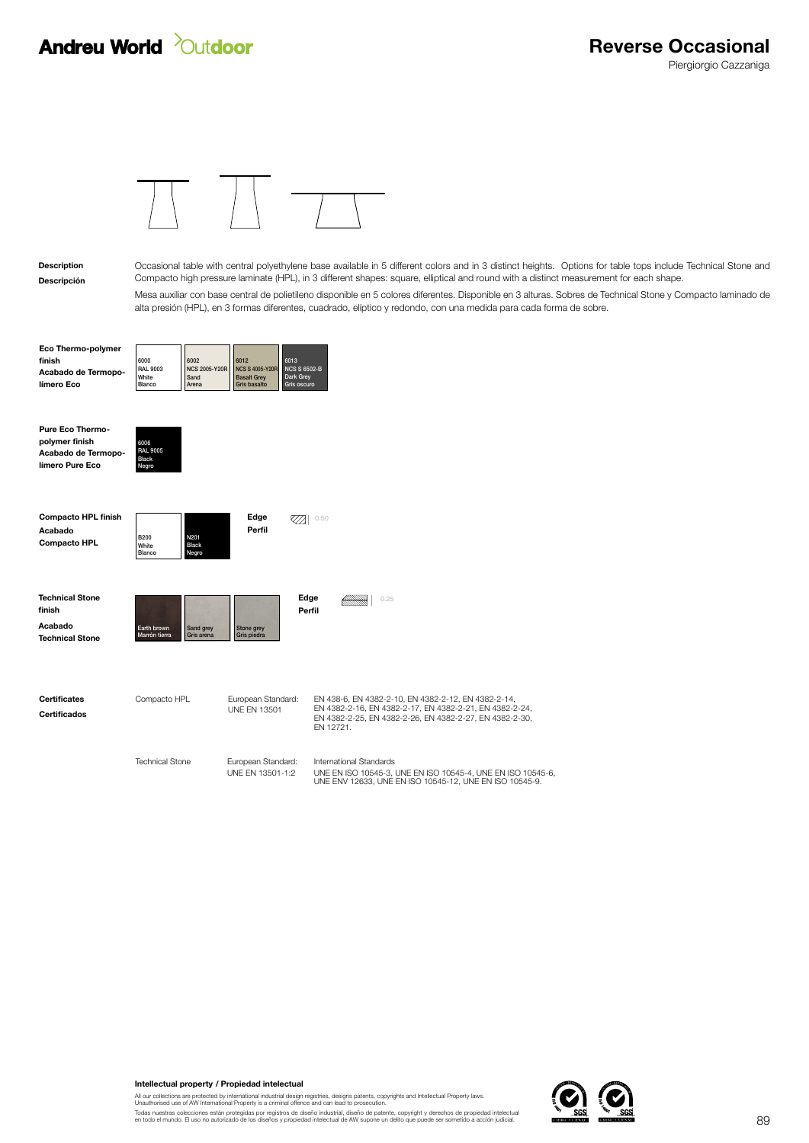

### Descripción Description

Mesa auxiliar con base central de polietileno disponible en 5 colores diferentes. Disponible en 3 alturas. Sobres de Technical Stone y Compacto laminado de alta presión (HPL), en 3 formas diferentes, cuadrado, elíptico y redondo, con una medida para cada forma de sobre. Occasional table with central polyethylene base available in 5 different colors and in 3 distinct heights. Options for table tops include Technical Stone and Compacto high pressure laminate (HPL), in 3 different shapes: square, elliptical and round with a distinct measurement for each shape.

| Eco Thermo-polymer  |                          |                                                      |                     |             |
|---------------------|--------------------------|------------------------------------------------------|---------------------|-------------|
| finish              | 6000                     | 6002                                                 | 6012                | 6013        |
| Acabado de Termopo- | <b>RAL 9003</b><br>White | NCS 2005-Y20R   NCS S 4005-Y20R NCS S 6502-B<br>Sand | <b>Basalt Grev</b>  | Dark Grev   |
| límero Eco          | Blanco                   | Arena                                                | <b>Gris basalto</b> | Gris oscuro |

6006 RAL 9005

Negro

Black

| <b>Pure Eco Thermo-</b> |
|-------------------------|
| polymer finish          |
| Acabado de Termopo-     |
| límero Pure Eco         |
|                         |

| <b>Compacto HPL finish</b><br>Acabado<br><b>Compacto HPL</b> | <b>B200</b><br>White<br>Blanco | N201<br><b>Black</b><br>Negro | Edge<br>Perfil            | 0.50           |      |
|--------------------------------------------------------------|--------------------------------|-------------------------------|---------------------------|----------------|------|
| <b>Technical Stone</b><br>finish                             |                                |                               |                           | Edge<br>Perfil | 0.25 |
| Acabado<br><b>Technical Stone</b>                            | Earth brown<br>Marrón tierra   | Sand grey<br>Gris arena       | Stone grey<br>Gris piedra |                |      |
|                                                              |                                |                               |                           |                |      |

| Certificates | Compacto HPL           | European Standard:                     | EN 438-6. EN 4382-2-10. EN 4382-2-12. EN 4382-2-14.                                                                             |
|--------------|------------------------|----------------------------------------|---------------------------------------------------------------------------------------------------------------------------------|
| Certificados |                        | UNF FN 13501                           | EN 4382-2-16. EN 4382-2-17. EN 4382-2-21. EN 4382-2-24.<br>EN 4382-2-25, EN 4382-2-26, EN 4382-2-27, EN 4382-2-30,<br>FN 12721. |
|              | <b>Technical Stone</b> | European Standard:<br>UNF FN 13501-1:2 | International Standards<br>UNE EN ISO 10545-3, UNE EN ISO 10545-4, UNE EN ISO 10545-6,                                          |
|              |                        |                                        | UNE ENV 12633. UNE EN ISO 10545-12. UNE EN ISO 10545-9.                                                                         |

Intellectual property / Propiedad intelectual

All our collections are protected by international industrial design registries, designs patents, copyrights and Intellectual Property laws.<br>Unauthorised use of AW International Property is a criminal offence and can lead

Todas nuestras colecciones están protegidas por registros de diseño industrial, diseño de patente, copyright y derechos de propiedad intelectual<br>en todo el mundo. El uso no autorizado de los diseños y propiedad intelectual

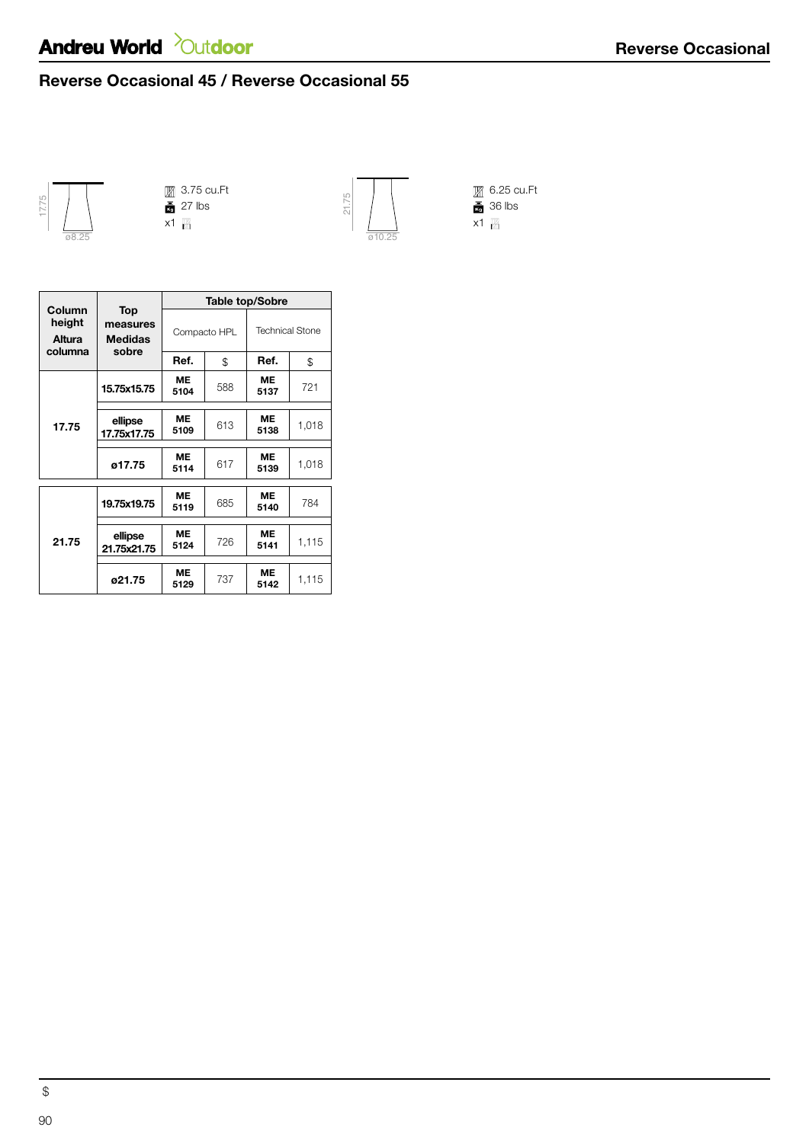# **Andreu World** *Cutdoor*

## Reverse Occasional 45 / Reverse Occasional 55



3.75 cu.Ft 27 lbs



6.25 cu.Ft 36 lbs

| Column<br>height<br>Altura<br>columna | Top<br>measures<br><b>Medidas</b><br>sobre | <b>Table top/Sobre</b> |     |                        |       |  |
|---------------------------------------|--------------------------------------------|------------------------|-----|------------------------|-------|--|
|                                       |                                            | Compacto HPL           |     | <b>Technical Stone</b> |       |  |
|                                       |                                            | Ref.                   | \$  | Ref.                   | \$    |  |
| 17.75                                 | 15.75x15.75                                | ME<br>5104             | 588 | ME<br>5137             | 721   |  |
|                                       | ellipse<br>17.75x17.75                     | <b>ME</b><br>5109      | 613 | <b>ME</b><br>5138      | 1,018 |  |
|                                       | ø17.75                                     | <b>ME</b><br>5114      | 617 | ME<br>5139             | 1,018 |  |
| 21.75                                 | 19.75x19.75                                | <b>ME</b><br>5119      | 685 | ME<br>5140             | 784   |  |
|                                       | ellipse<br>21.75x21.75                     | <b>ME</b><br>5124      | 726 | <b>ME</b><br>5141      | 1,115 |  |
|                                       | ø21.75                                     | ME<br>5129             | 737 | <b>ME</b><br>5142      | 1,115 |  |